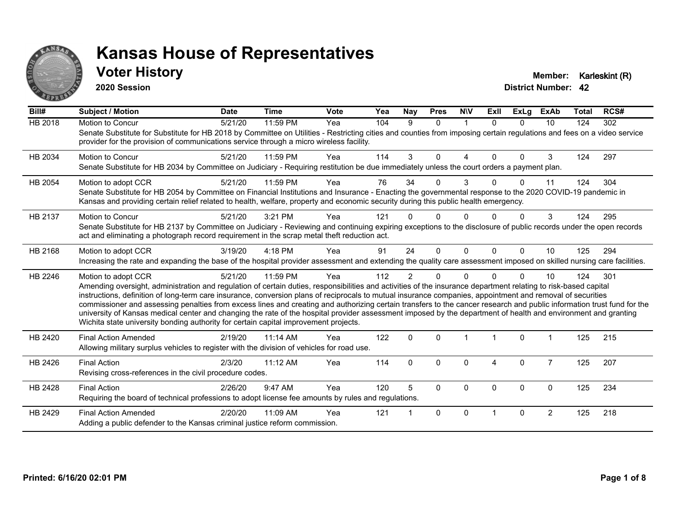

#### **Voter History Member: Karleskint (R)**

**2020 Session**

| Bill#          | Subject / Motion                                                                                                                                                                                                                                                                                                                                                                                                                                                                                                                                                                                                                                                                                                                                                                         | <b>Date</b> | <b>Time</b> | <b>Vote</b> | Yea | <b>Nay</b>     | <b>Pres</b>  | <b>NIV</b> | <b>Exll</b> | <b>ExLg</b>  | <b>ExAb</b>    | Total | RCS# |
|----------------|------------------------------------------------------------------------------------------------------------------------------------------------------------------------------------------------------------------------------------------------------------------------------------------------------------------------------------------------------------------------------------------------------------------------------------------------------------------------------------------------------------------------------------------------------------------------------------------------------------------------------------------------------------------------------------------------------------------------------------------------------------------------------------------|-------------|-------------|-------------|-----|----------------|--------------|------------|-------------|--------------|----------------|-------|------|
| <b>HB 2018</b> | Motion to Concur<br>Senate Substitute for Substitute for HB 2018 by Committee on Utilities - Restricting cities and counties from imposing certain regulations and fees on a video service<br>provider for the provision of communications service through a micro wireless facility.                                                                                                                                                                                                                                                                                                                                                                                                                                                                                                    | 5/21/20     | 11:59 PM    | Yea         | 104 | 9              | $\Omega$     | 1          | $\Omega$    | $\Omega$     | 10             | 124   | 302  |
| HB 2034        | <b>Motion to Concur</b><br>Senate Substitute for HB 2034 by Committee on Judiciary - Requiring restitution be due immediately unless the court orders a payment plan.                                                                                                                                                                                                                                                                                                                                                                                                                                                                                                                                                                                                                    | 5/21/20     | 11:59 PM    | Yea         | 114 | 3              | $\Omega$     | 4          | $\Omega$    | $\Omega$     | 3              | 124   | 297  |
| HB 2054        | Motion to adopt CCR<br>Senate Substitute for HB 2054 by Committee on Financial Institutions and Insurance - Enacting the governmental response to the 2020 COVID-19 pandemic in<br>Kansas and providing certain relief related to health, welfare, property and economic security during this public health emergency.                                                                                                                                                                                                                                                                                                                                                                                                                                                                   | 5/21/20     | 11:59 PM    | Yea         | 76  | 34             | $\Omega$     | 3          |             | <sup>0</sup> | 11             | 124   | 304  |
| HB 2137        | Motion to Concur<br>Senate Substitute for HB 2137 by Committee on Judiciary - Reviewing and continuing expiring exceptions to the disclosure of public records under the open records<br>act and eliminating a photograph record requirement in the scrap metal theft reduction act.                                                                                                                                                                                                                                                                                                                                                                                                                                                                                                     | 5/21/20     | 3:21 PM     | Yea         | 121 |                | ∩            | U          |             |              | 3              | 124   | 295  |
| HB 2168        | Motion to adopt CCR<br>Increasing the rate and expanding the base of the hospital provider assessment and extending the quality care assessment imposed on skilled nursing care facilities.                                                                                                                                                                                                                                                                                                                                                                                                                                                                                                                                                                                              | 3/19/20     | 4:18 PM     | Yea         | 91  | 24             | $\Omega$     | $\Omega$   | $\Omega$    | $\Omega$     | 10             | 125   | 294  |
| HB 2246        | Motion to adopt CCR<br>Amending oversight, administration and regulation of certain duties, responsibilities and activities of the insurance department relating to risk-based capital<br>instructions, definition of long-term care insurance, conversion plans of reciprocals to mutual insurance companies, appointment and removal of securities<br>commissioner and assessing penalties from excess lines and creating and authorizing certain transfers to the cancer research and public information trust fund for the<br>university of Kansas medical center and changing the rate of the hospital provider assessment imposed by the department of health and environment and granting<br>Wichita state university bonding authority for certain capital improvement projects. | 5/21/20     | 11:59 PM    | Yea         | 112 | $\overline{2}$ | $\Omega$     | $\Omega$   |             | $\Omega$     | 10             | 124   | 301  |
| HB 2420        | <b>Final Action Amended</b><br>Allowing military surplus vehicles to register with the division of vehicles for road use.                                                                                                                                                                                                                                                                                                                                                                                                                                                                                                                                                                                                                                                                | 2/19/20     | 11:14 AM    | Yea         | 122 | $\mathbf{0}$   | $\Omega$     |            |             | $\Omega$     |                | 125   | 215  |
| HB 2426        | <b>Final Action</b><br>Revising cross-references in the civil procedure codes.                                                                                                                                                                                                                                                                                                                                                                                                                                                                                                                                                                                                                                                                                                           | 2/3/20      | 11:12 AM    | Yea         | 114 | $\mathbf{0}$   | 0            | $\Omega$   | 4           | $\mathbf{0}$ | $\overline{7}$ | 125   | 207  |
| HB 2428        | <b>Final Action</b><br>Requiring the board of technical professions to adopt license fee amounts by rules and regulations.                                                                                                                                                                                                                                                                                                                                                                                                                                                                                                                                                                                                                                                               | 2/26/20     | 9:47 AM     | Yea         | 120 | 5              | $\mathbf{0}$ | $\Omega$   | $\Omega$    | $\Omega$     | $\Omega$       | 125   | 234  |
| HB 2429        | <b>Final Action Amended</b><br>Adding a public defender to the Kansas criminal justice reform commission.                                                                                                                                                                                                                                                                                                                                                                                                                                                                                                                                                                                                                                                                                | 2/20/20     | 11:09 AM    | Yea         | 121 |                | $\mathbf{0}$ | $\Omega$   |             | $\Omega$     | $\overline{2}$ | 125   | 218  |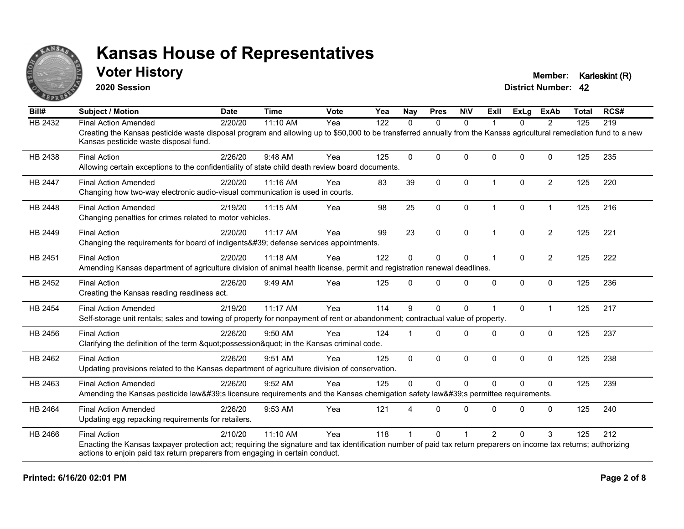

#### **Voter History Member: Karleskint (R)**

**2020 Session**

| Bill#          | <b>Subject / Motion</b>                                                                                                                                                                                     | <b>Date</b> | <b>Time</b> | Vote | Yea | <b>Nay</b> | <b>Pres</b>  | <b>NIV</b>   | ExII           | ExLg         | <b>ExAb</b>    | <b>Total</b> | RCS# |
|----------------|-------------------------------------------------------------------------------------------------------------------------------------------------------------------------------------------------------------|-------------|-------------|------|-----|------------|--------------|--------------|----------------|--------------|----------------|--------------|------|
| <b>HB 2432</b> | <b>Final Action Amended</b>                                                                                                                                                                                 | 2/20/20     | 11:10 AM    | Yea  | 122 | $\Omega$   | $\mathbf{0}$ | $\Omega$     |                | $\Omega$     | $\overline{2}$ | 125          | 219  |
|                | Creating the Kansas pesticide waste disposal program and allowing up to \$50,000 to be transferred annually from the Kansas agricultural remediation fund to a new<br>Kansas pesticide waste disposal fund. |             |             |      |     |            |              |              |                |              |                |              |      |
| HB 2438        | <b>Final Action</b>                                                                                                                                                                                         | 2/26/20     | 9:48 AM     | Yea  | 125 | $\Omega$   | $\Omega$     | $\Omega$     | $\Omega$       | $\Omega$     | $\Omega$       | 125          | 235  |
|                | Allowing certain exceptions to the confidentiality of state child death review board documents.                                                                                                             |             |             |      |     |            |              |              |                |              |                |              |      |
| HB 2447        | <b>Final Action Amended</b>                                                                                                                                                                                 | 2/20/20     | 11:16 AM    | Yea  | 83  | 39         | $\mathbf{0}$ | 0            | 1              | $\Omega$     | $\overline{2}$ | 125          | 220  |
|                | Changing how two-way electronic audio-visual communication is used in courts.                                                                                                                               |             |             |      |     |            |              |              |                |              |                |              |      |
| <b>HB 2448</b> | <b>Final Action Amended</b>                                                                                                                                                                                 | 2/19/20     | 11:15 AM    | Yea  | 98  | 25         | $\Omega$     | $\mathbf{0}$ | 1              | $\Omega$     | $\mathbf 1$    | 125          | 216  |
|                | Changing penalties for crimes related to motor vehicles.                                                                                                                                                    |             |             |      |     |            |              |              |                |              |                |              |      |
| HB 2449        | <b>Final Action</b>                                                                                                                                                                                         | 2/20/20     | 11:17 AM    | Yea  | 99  | 23         | $\mathbf 0$  | $\mathbf 0$  | 1              | $\mathbf{0}$ | $\overline{2}$ | 125          | 221  |
|                | Changing the requirements for board of indigents' defense services appointments.                                                                                                                            |             |             |      |     |            |              |              |                |              |                |              |      |
| HB 2451        | <b>Final Action</b>                                                                                                                                                                                         | 2/20/20     | 11:18 AM    | Yea  | 122 | $\Omega$   | $\Omega$     | 0            | 1              | $\Omega$     | $\overline{2}$ | 125          | 222  |
|                | Amending Kansas department of agriculture division of animal health license, permit and registration renewal deadlines.                                                                                     |             |             |      |     |            |              |              |                |              |                |              |      |
| HB 2452        | <b>Final Action</b>                                                                                                                                                                                         | 2/26/20     | 9:49 AM     | Yea  | 125 | $\Omega$   | $\Omega$     | 0            | $\Omega$       | $\Omega$     | $\Omega$       | 125          | 236  |
|                | Creating the Kansas reading readiness act.                                                                                                                                                                  |             |             |      |     |            |              |              |                |              |                |              |      |
| HB 2454        | <b>Final Action Amended</b>                                                                                                                                                                                 | 2/19/20     | 11:17 AM    | Yea  | 114 | 9          | 0            | 0            |                | $\Omega$     | $\mathbf{1}$   | 125          | 217  |
|                | Self-storage unit rentals; sales and towing of property for nonpayment of rent or abandonment; contractual value of property.                                                                               |             |             |      |     |            |              |              |                |              |                |              |      |
| HB 2456        | <b>Final Action</b>                                                                                                                                                                                         | 2/26/20     | 9:50 AM     | Yea  | 124 |            | $\Omega$     | $\Omega$     | 0              | $\Omega$     | $\mathbf{0}$   | 125          | 237  |
|                | Clarifying the definition of the term "possession" in the Kansas criminal code.                                                                                                                             |             |             |      |     |            |              |              |                |              |                |              |      |
| HB 2462        | <b>Final Action</b>                                                                                                                                                                                         | 2/26/20     | 9:51 AM     | Yea  | 125 | 0          | $\mathbf 0$  | 0            | 0              | 0            | $\mathbf 0$    | 125          | 238  |
|                | Updating provisions related to the Kansas department of agriculture division of conservation.                                                                                                               |             |             |      |     |            |              |              |                |              |                |              |      |
| HB 2463        | <b>Final Action Amended</b>                                                                                                                                                                                 | 2/26/20     | 9:52 AM     | Yea  | 125 | $\Omega$   | $\Omega$     | $\mathbf{0}$ | $\Omega$       | $\Omega$     | $\Omega$       | 125          | 239  |
|                | Amending the Kansas pesticide law's licensure requirements and the Kansas chemigation safety law's permittee requirements.                                                                                  |             |             |      |     |            |              |              |                |              |                |              |      |
| HB 2464        | <b>Final Action Amended</b>                                                                                                                                                                                 | 2/26/20     | 9:53 AM     | Yea  | 121 |            | $\Omega$     | $\Omega$     | 0              | O            | $\Omega$       | 125          | 240  |
|                | Updating egg repacking requirements for retailers.                                                                                                                                                          |             |             |      |     |            |              |              |                |              |                |              |      |
| HB 2466        | <b>Final Action</b>                                                                                                                                                                                         | 2/10/20     | 11:10 AM    | Yea  | 118 |            | $\Omega$     |              | $\overline{2}$ | $\Omega$     | 3              | 125          | 212  |
|                | Enacting the Kansas taxpayer protection act; requiring the signature and tax identification number of paid tax return preparers on income tax returns; authorizing                                          |             |             |      |     |            |              |              |                |              |                |              |      |
|                | actions to enjoin paid tax return preparers from engaging in certain conduct.                                                                                                                               |             |             |      |     |            |              |              |                |              |                |              |      |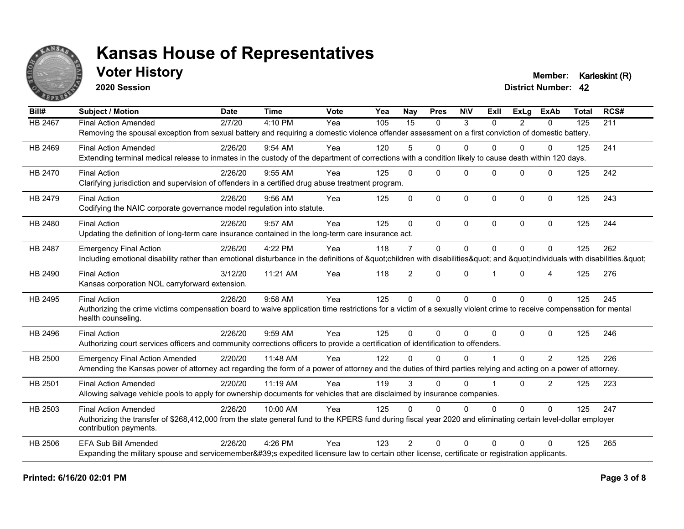

### **Voter History Member: Karleskint (R)**

**2020 Session**

| Bill#          | <b>Subject / Motion</b>                                                                                                                                             | <b>Date</b> | <b>Time</b> | Vote | Yea | <b>Nay</b>     | <b>Pres</b>  | <b>NIV</b>   | ExII           | ExLa           | <b>ExAb</b>    | <b>Total</b> | RCS# |
|----------------|---------------------------------------------------------------------------------------------------------------------------------------------------------------------|-------------|-------------|------|-----|----------------|--------------|--------------|----------------|----------------|----------------|--------------|------|
| <b>HB 2467</b> | <b>Final Action Amended</b>                                                                                                                                         | 2/7/20      | 4:10 PM     | Yea  | 105 | 15             | $\Omega$     | 3            | $\Omega$       | $\overline{2}$ | $\mathbf{0}$   | 125          | 211  |
|                | Removing the spousal exception from sexual battery and requiring a domestic violence offender assessment on a first conviction of domestic battery.                 |             |             |      |     |                |              |              |                |                |                |              |      |
| HB 2469        | <b>Final Action Amended</b>                                                                                                                                         | 2/26/20     | $9:54$ AM   | Yea  | 120 | 5              | $\Omega$     | $\Omega$     | 0              | $\Omega$       | $\mathbf{0}$   | 125          | 241  |
|                | Extending terminal medical release to inmates in the custody of the department of corrections with a condition likely to cause death within 120 days.               |             |             |      |     |                |              |              |                |                |                |              |      |
| <b>HB 2470</b> | <b>Final Action</b>                                                                                                                                                 | 2/26/20     | 9:55 AM     | Yea  | 125 | $\Omega$       | $\Omega$     | $\Omega$     | $\Omega$       | $\Omega$       | $\Omega$       | 125          | 242  |
|                | Clarifying jurisdiction and supervision of offenders in a certified drug abuse treatment program.                                                                   |             |             |      |     |                |              |              |                |                |                |              |      |
| HB 2479        | <b>Final Action</b>                                                                                                                                                 | 2/26/20     | 9:56 AM     | Yea  | 125 | $\Omega$       | $\mathbf{0}$ | $\mathbf 0$  | $\Omega$       | $\Omega$       | $\mathbf{0}$   | 125          | 243  |
|                | Codifying the NAIC corporate governance model regulation into statute.                                                                                              |             |             |      |     |                |              |              |                |                |                |              |      |
| HB 2480        | <b>Final Action</b>                                                                                                                                                 | 2/26/20     | 9:57 AM     | Yea  | 125 | $\Omega$       | $\Omega$     | $\mathbf{0}$ | $\Omega$       | $\Omega$       | $\mathbf{0}$   | 125          | 244  |
|                | Updating the definition of long-term care insurance contained in the long-term care insurance act.                                                                  |             |             |      |     |                |              |              |                |                |                |              |      |
| <b>HB 2487</b> | <b>Emergency Final Action</b>                                                                                                                                       | 2/26/20     | 4:22 PM     | Yea  | 118 | $\overline{7}$ | 0            | $\mathbf{0}$ | $\overline{0}$ | $\Omega$       | $\Omega$       | 125          | 262  |
|                | Including emotional disability rather than emotional disturbance in the definitions of "children with disabilities" and "individuals with disabilities. "           |             |             |      |     |                |              |              |                |                |                |              |      |
| HB 2490        | <b>Final Action</b>                                                                                                                                                 | 3/12/20     | 11:21 AM    | Yea  | 118 | $\overline{2}$ | $\Omega$     | $\mathbf{0}$ |                | $\Omega$       | 4              | 125          | 276  |
|                | Kansas corporation NOL carryforward extension.                                                                                                                      |             |             |      |     |                |              |              |                |                |                |              |      |
| HB 2495        | <b>Final Action</b>                                                                                                                                                 | 2/26/20     | 9:58 AM     | Yea  | 125 | $\overline{0}$ | $\mathbf 0$  | $\mathbf 0$  | $\Omega$       | $\Omega$       | $\Omega$       | 125          | 245  |
|                | Authorizing the crime victims compensation board to waive application time restrictions for a victim of a sexually violent crime to receive compensation for mental |             |             |      |     |                |              |              |                |                |                |              |      |
|                | health counseling.                                                                                                                                                  |             |             |      |     |                |              |              |                |                |                |              |      |
| HB 2496        | <b>Final Action</b>                                                                                                                                                 | 2/26/20     | 9:59 AM     | Yea  | 125 | $\Omega$       | $\Omega$     | $\mathbf{0}$ | $\Omega$       | $\Omega$       | $\Omega$       | 125          | 246  |
|                | Authorizing court services officers and community corrections officers to provide a certification of identification to offenders.                                   |             |             |      |     |                |              |              |                |                |                |              |      |
| HB 2500        | <b>Emergency Final Action Amended</b>                                                                                                                               | 2/20/20     | 11:48 AM    | Yea  | 122 | 0              | $\Omega$     | $\Omega$     |                | $\Omega$       | 2              | 125          | 226  |
|                | Amending the Kansas power of attorney act regarding the form of a power of attorney and the duties of third parties relying and acting on a power of attorney.      |             |             |      |     |                |              |              |                |                |                |              |      |
| HB 2501        | <b>Final Action Amended</b>                                                                                                                                         | 2/20/20     | 11:19 AM    | Yea  | 119 | 3              | $\Omega$     | $\mathbf{0}$ |                | $\Omega$       | $\overline{2}$ | 125          | 223  |
|                | Allowing salvage vehicle pools to apply for ownership documents for vehicles that are disclaimed by insurance companies.                                            |             |             |      |     |                |              |              |                |                |                |              |      |
| HB 2503        | <b>Final Action Amended</b>                                                                                                                                         | 2/26/20     | 10:00 AM    | Yea  | 125 | $\Omega$       | $\Omega$     | $\Omega$     | $\Omega$       | $\Omega$       | $\Omega$       | 125          | 247  |
|                | Authorizing the transfer of \$268,412,000 from the state general fund to the KPERS fund during fiscal year 2020 and eliminating certain level-dollar employer       |             |             |      |     |                |              |              |                |                |                |              |      |
|                | contribution payments.                                                                                                                                              |             |             |      |     |                |              |              |                |                |                |              |      |
| HB 2506        | <b>EFA Sub Bill Amended</b>                                                                                                                                         | 2/26/20     | 4:26 PM     | Yea  | 123 | $\mathcal{P}$  | $\Omega$     | $\Omega$     | 0              | $\Omega$       | $\Omega$       | 125          | 265  |
|                | Expanding the military spouse and servicemember's expedited licensure law to certain other license, certificate or registration applicants.                         |             |             |      |     |                |              |              |                |                |                |              |      |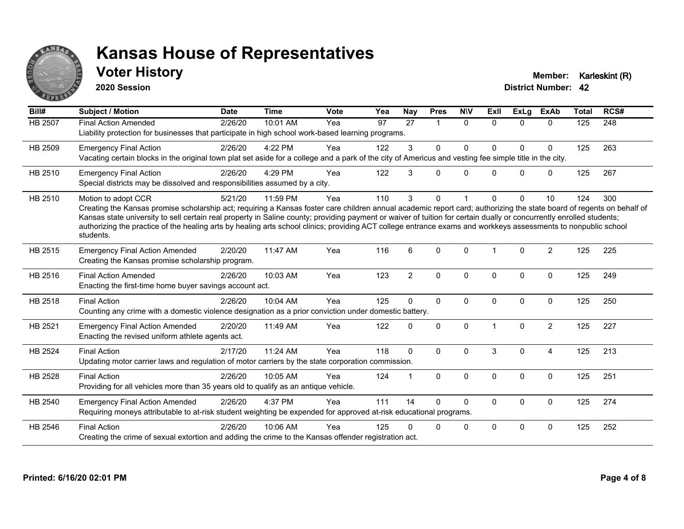

### **Voter History Member: Karleskint (R)**

**2020 Session**

| Bill#          | Subject / Motion                                                                                                                                                                                                                                                                                                                                                                                                                                                                                                                                    | <b>Date</b> | <b>Time</b> | <b>Vote</b> | Yea | Nay            | <b>Pres</b> | <b>NIV</b> | ExII         | <b>ExLg</b> | <b>ExAb</b>    | <b>Total</b> | RCS# |
|----------------|-----------------------------------------------------------------------------------------------------------------------------------------------------------------------------------------------------------------------------------------------------------------------------------------------------------------------------------------------------------------------------------------------------------------------------------------------------------------------------------------------------------------------------------------------------|-------------|-------------|-------------|-----|----------------|-------------|------------|--------------|-------------|----------------|--------------|------|
| HB 2507        | <b>Final Action Amended</b><br>Liability protection for businesses that participate in high school work-based learning programs.                                                                                                                                                                                                                                                                                                                                                                                                                    | 2/26/20     | 10:01 AM    | Yea         | 97  | 27             | 1           | $\Omega$   | $\Omega$     | $\Omega$    | $\Omega$       | 125          | 248  |
| HB 2509        | <b>Emergency Final Action</b><br>Vacating certain blocks in the original town plat set aside for a college and a park of the city of Americus and vesting fee simple title in the city.                                                                                                                                                                                                                                                                                                                                                             | 2/26/20     | 4:22 PM     | Yea         | 122 | 3              | 0           | $\Omega$   | 0            | 0           | 0              | 125          | 263  |
| HB 2510        | <b>Emergency Final Action</b><br>Special districts may be dissolved and responsibilities assumed by a city.                                                                                                                                                                                                                                                                                                                                                                                                                                         | 2/26/20     | 4:29 PM     | Yea         | 122 | 3              | $\Omega$    | $\Omega$   | <sup>n</sup> | $\Omega$    | 0              | 125          | 267  |
| HB 2510        | Motion to adopt CCR<br>Creating the Kansas promise scholarship act; requiring a Kansas foster care children annual academic report card; authorizing the state board of regents on behalf of<br>Kansas state university to sell certain real property in Saline county; providing payment or waiver of tuition for certain dually or concurrently enrolled students;<br>authorizing the practice of the healing arts by healing arts school clinics; providing ACT college entrance exams and workkeys assessments to nonpublic school<br>students. | 5/21/20     | 11:59 PM    | Yea         | 110 | 3              | $\Omega$    |            | 0            | $\Omega$    | 10             | 124          | 300  |
| HB 2515        | <b>Emergency Final Action Amended</b><br>Creating the Kansas promise scholarship program.                                                                                                                                                                                                                                                                                                                                                                                                                                                           | 2/20/20     | 11:47 AM    | Yea         | 116 | 6              | $\Omega$    | $\Omega$   |              | $\Omega$    | $\overline{2}$ | 125          | 225  |
| HB 2516        | <b>Final Action Amended</b><br>Enacting the first-time home buyer savings account act.                                                                                                                                                                                                                                                                                                                                                                                                                                                              | 2/26/20     | 10:03 AM    | Yea         | 123 | $\overline{2}$ | $\Omega$    | $\Omega$   | $\Omega$     | $\Omega$    | $\Omega$       | 125          | 249  |
| <b>HB 2518</b> | <b>Final Action</b><br>Counting any crime with a domestic violence designation as a prior conviction under domestic battery.                                                                                                                                                                                                                                                                                                                                                                                                                        | 2/26/20     | 10:04 AM    | Yea         | 125 | $\Omega$       | $\Omega$    | $\Omega$   | $\mathbf{0}$ | $\Omega$    | $\mathbf 0$    | 125          | 250  |
| HB 2521        | <b>Emergency Final Action Amended</b><br>Enacting the revised uniform athlete agents act.                                                                                                                                                                                                                                                                                                                                                                                                                                                           | 2/20/20     | 11:49 AM    | Yea         | 122 | $\mathbf{0}$   | $\Omega$    | $\Omega$   |              | $\Omega$    | $\overline{c}$ | 125          | 227  |
| <b>HB 2524</b> | <b>Final Action</b><br>Updating motor carrier laws and regulation of motor carriers by the state corporation commission.                                                                                                                                                                                                                                                                                                                                                                                                                            | 2/17/20     | 11:24 AM    | Yea         | 118 | $\Omega$       | $\Omega$    | $\Omega$   | 3            | $\Omega$    | 4              | 125          | 213  |
| <b>HB 2528</b> | <b>Final Action</b><br>Providing for all vehicles more than 35 years old to qualify as an antique vehicle.                                                                                                                                                                                                                                                                                                                                                                                                                                          | 2/26/20     | 10:05 AM    | Yea         | 124 | 1              | $\Omega$    | $\Omega$   | $\Omega$     | $\Omega$    | $\Omega$       | 125          | 251  |
| HB 2540        | <b>Emergency Final Action Amended</b><br>Requiring moneys attributable to at-risk student weighting be expended for approved at-risk educational programs.                                                                                                                                                                                                                                                                                                                                                                                          | 2/26/20     | 4:37 PM     | Yea         | 111 | 14             | $\Omega$    | $\Omega$   | $\mathbf 0$  | 0           | $\mathbf 0$    | 125          | 274  |
| HB 2546        | <b>Final Action</b><br>Creating the crime of sexual extortion and adding the crime to the Kansas offender registration act.                                                                                                                                                                                                                                                                                                                                                                                                                         | 2/26/20     | 10:06 AM    | Yea         | 125 | 0              | $\Omega$    | 0          | $\Omega$     | 0           | 0              | 125          | 252  |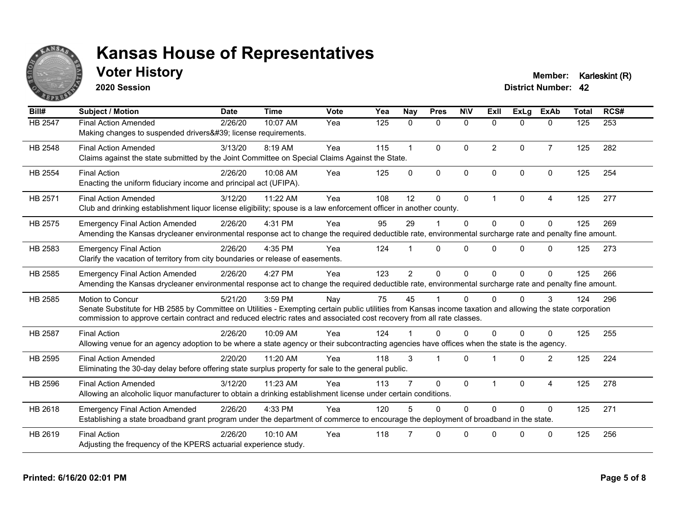

### **Voter History Member: Karleskint (R)**

**2020 Session**

| Bill#          | <b>Subject / Motion</b>                                                                                                                                                                                                                                                                                  | <b>Date</b> | <b>Time</b> | Vote | Yea | <b>Nay</b>           | <b>Pres</b>  | <b>NIV</b>   | ExII           | ExLg         | <b>ExAb</b>    | <b>Total</b> | RCS# |
|----------------|----------------------------------------------------------------------------------------------------------------------------------------------------------------------------------------------------------------------------------------------------------------------------------------------------------|-------------|-------------|------|-----|----------------------|--------------|--------------|----------------|--------------|----------------|--------------|------|
| HB 2547        | <b>Final Action Amended</b><br>Making changes to suspended drivers' license requirements.                                                                                                                                                                                                                | 2/26/20     | 10:07 AM    | Yea  | 125 | $\mathbf{0}$         | $\mathbf{0}$ | $\mathbf{0}$ | $\mathbf{0}$   | 0            | $\mathbf{0}$   | 125          | 253  |
| HB 2548        | <b>Final Action Amended</b><br>Claims against the state submitted by the Joint Committee on Special Claims Against the State.                                                                                                                                                                            | 3/13/20     | 8:19 AM     | Yea  | 115 | $\blacktriangleleft$ | $\mathbf{0}$ | $\Omega$     | $\overline{2}$ | $\Omega$     | $\overline{7}$ | 125          | 282  |
| <b>HB 2554</b> | <b>Final Action</b><br>Enacting the uniform fiduciary income and principal act (UFIPA).                                                                                                                                                                                                                  | 2/26/20     | 10:08 AM    | Yea  | 125 | $\Omega$             | $\mathbf{0}$ | $\Omega$     | $\Omega$       | $\Omega$     | $\Omega$       | 125          | 254  |
| HB 2571        | <b>Final Action Amended</b><br>Club and drinking establishment liquor license eligibility; spouse is a law enforcement officer in another county.                                                                                                                                                        | 3/12/20     | 11:22 AM    | Yea  | 108 | 12                   | $\mathbf 0$  | $\mathbf 0$  | 1              | $\Omega$     | $\overline{4}$ | 125          | 277  |
| HB 2575        | <b>Emergency Final Action Amended</b><br>Amending the Kansas drycleaner environmental response act to change the required deductible rate, environmental surcharge rate and penalty fine amount.                                                                                                         | 2/26/20     | 4:31 PM     | Yea  | 95  | 29                   |              | $\Omega$     | $\Omega$       | $\Omega$     | $\Omega$       | 125          | 269  |
| HB 2583        | <b>Emergency Final Action</b><br>Clarify the vacation of territory from city boundaries or release of easements.                                                                                                                                                                                         | 2/26/20     | 4:35 PM     | Yea  | 124 |                      | $\Omega$     | $\Omega$     | 0              | 0            | $\Omega$       | 125          | 273  |
| HB 2585        | <b>Emergency Final Action Amended</b><br>Amending the Kansas drycleaner environmental response act to change the required deductible rate, environmental surcharge rate and penalty fine amount.                                                                                                         | 2/26/20     | 4:27 PM     | Yea  | 123 | $\overline{2}$       | $\mathbf{0}$ | $\Omega$     | $\Omega$       | $\Omega$     | $\mathbf{0}$   | 125          | 266  |
| HB 2585        | Motion to Concur<br>Senate Substitute for HB 2585 by Committee on Utilities - Exempting certain public utilities from Kansas income taxation and allowing the state corporation<br>commission to approve certain contract and reduced electric rates and associated cost recovery from all rate classes. | 5/21/20     | 3:59 PM     | Nay  | 75  | 45                   |              | $\Omega$     | 0              | <sup>0</sup> | 3              | 124          | 296  |
| <b>HB 2587</b> | <b>Final Action</b><br>Allowing venue for an agency adoption to be where a state agency or their subcontracting agencies have offices when the state is the agency.                                                                                                                                      | 2/26/20     | $10:09$ AM  | Yea  | 124 |                      | $\Omega$     | $\Omega$     | 0              | $\Omega$     | $\Omega$       | 125          | 255  |
| HB 2595        | <b>Final Action Amended</b><br>Eliminating the 30-day delay before offering state surplus property for sale to the general public.                                                                                                                                                                       | 2/20/20     | 11:20 AM    | Yea  | 118 | 3                    |              | $\Omega$     |                | $\Omega$     | 2              | 125          | 224  |
| HB 2596        | <b>Final Action Amended</b><br>Allowing an alcoholic liquor manufacturer to obtain a drinking establishment license under certain conditions.                                                                                                                                                            | 3/12/20     | 11:23 AM    | Yea  | 113 |                      | $\mathbf{0}$ | $\mathbf{0}$ |                | $\Omega$     | $\overline{4}$ | 125          | 278  |
| HB 2618        | <b>Emergency Final Action Amended</b><br>Establishing a state broadband grant program under the department of commerce to encourage the deployment of broadband in the state.                                                                                                                            | 2/26/20     | 4:33 PM     | Yea  | 120 | 5                    | $\Omega$     | $\Omega$     | $\Omega$       | $\Omega$     | $\Omega$       | 125          | 271  |
| HB 2619        | <b>Final Action</b><br>Adjusting the frequency of the KPERS actuarial experience study.                                                                                                                                                                                                                  | 2/26/20     | 10:10 AM    | Yea  | 118 |                      | $\Omega$     | $\Omega$     | U              | $\Omega$     | $\mathbf{0}$   | 125          | 256  |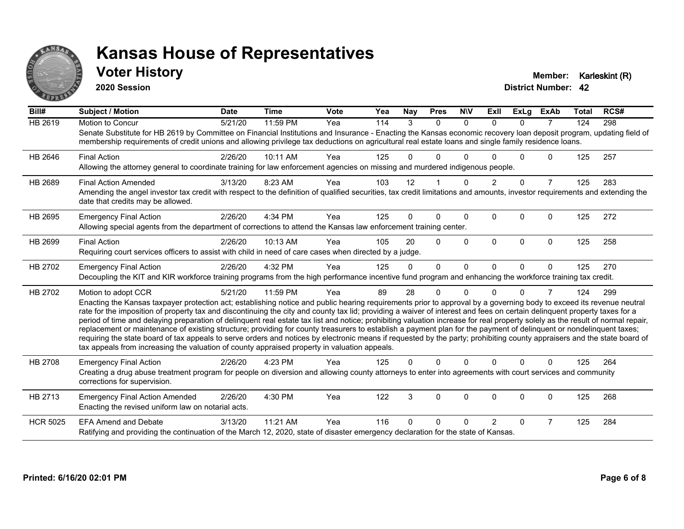

#### **Voter History Member: Karleskint (R)**

**2020 Session**

| Bill#           | <b>Subject / Motion</b>                                                                                                                                                                                                                                                                                                                                                                                                                                                                                                                                                                                                                                                                                                                                                                                                                                                                                                                                                                                       | <b>Date</b> | <b>Time</b> | <b>Vote</b> | Yea | Nay      | <b>Pres</b>  | <b>NIV</b>   | <b>ExII</b>    | <b>ExLg</b>  | <b>ExAb</b>    | <b>Total</b> | RCS# |
|-----------------|---------------------------------------------------------------------------------------------------------------------------------------------------------------------------------------------------------------------------------------------------------------------------------------------------------------------------------------------------------------------------------------------------------------------------------------------------------------------------------------------------------------------------------------------------------------------------------------------------------------------------------------------------------------------------------------------------------------------------------------------------------------------------------------------------------------------------------------------------------------------------------------------------------------------------------------------------------------------------------------------------------------|-------------|-------------|-------------|-----|----------|--------------|--------------|----------------|--------------|----------------|--------------|------|
| <b>HB 2619</b>  | <b>Motion to Concur</b><br>Senate Substitute for HB 2619 by Committee on Financial Institutions and Insurance - Enacting the Kansas economic recovery loan deposit program, updating field of<br>membership requirements of credit unions and allowing privilege tax deductions on agricultural real estate loans and single family residence loans.                                                                                                                                                                                                                                                                                                                                                                                                                                                                                                                                                                                                                                                          | 5/21/20     | 11:59 PM    | Yea         | 114 | 3        | $\Omega$     | $\Omega$     | $\Omega$       | $\Omega$     | $\overline{7}$ | 124          | 298  |
| HB 2646         | <b>Final Action</b><br>Allowing the attorney general to coordinate training for law enforcement agencies on missing and murdered indigenous people.                                                                                                                                                                                                                                                                                                                                                                                                                                                                                                                                                                                                                                                                                                                                                                                                                                                           | 2/26/20     | 10:11 AM    | Yea         | 125 |          | 0            | O            |                | $\Omega$     | 0              | 125          | 257  |
| HB 2689         | <b>Final Action Amended</b><br>Amending the angel investor tax credit with respect to the definition of qualified securities, tax credit limitations and amounts, investor requirements and extending the<br>date that credits may be allowed.                                                                                                                                                                                                                                                                                                                                                                                                                                                                                                                                                                                                                                                                                                                                                                | 3/13/20     | 8:23 AM     | Yea         | 103 | 12       |              | $\Omega$     | $\overline{2}$ | $\Omega$     | $\overline{7}$ | 125          | 283  |
| HB 2695         | <b>Emergency Final Action</b><br>Allowing special agents from the department of corrections to attend the Kansas law enforcement training center.                                                                                                                                                                                                                                                                                                                                                                                                                                                                                                                                                                                                                                                                                                                                                                                                                                                             | 2/26/20     | 4:34 PM     | Yea         | 125 | $\Omega$ | 0            | $\mathbf{0}$ | $\mathbf{0}$   | $\Omega$     | 0              | 125          | 272  |
| HB 2699         | <b>Final Action</b><br>Requiring court services officers to assist with child in need of care cases when directed by a judge.                                                                                                                                                                                                                                                                                                                                                                                                                                                                                                                                                                                                                                                                                                                                                                                                                                                                                 | 2/26/20     | 10:13 AM    | Yea         | 105 | 20       | $\Omega$     | $\Omega$     | $\Omega$       | $\mathbf{0}$ | $\Omega$       | 125          | 258  |
| HB 2702         | <b>Emergency Final Action</b><br>Decoupling the KIT and KIR workforce training programs from the high performance incentive fund program and enhancing the workforce training tax credit.                                                                                                                                                                                                                                                                                                                                                                                                                                                                                                                                                                                                                                                                                                                                                                                                                     | 2/26/20     | 4:32 PM     | Yea         | 125 | $\Omega$ | $\Omega$     | $\Omega$     | $\Omega$       | $\Omega$     | $\mathbf{0}$   | 125          | 270  |
| HB 2702         | Motion to adopt CCR<br>Enacting the Kansas taxpayer protection act; establishing notice and public hearing requirements prior to approval by a governing body to exceed its revenue neutral<br>rate for the imposition of property tax and discontinuing the city and county tax lid; providing a waiver of interest and fees on certain delinquent property taxes for a<br>period of time and delaying preparation of delinquent real estate tax list and notice; prohibiting valuation increase for real property solely as the result of normal repair,<br>replacement or maintenance of existing structure; providing for county treasurers to establish a payment plan for the payment of delinquent or nondelinquent taxes;<br>requiring the state board of tax appeals to serve orders and notices by electronic means if requested by the party; prohibiting county appraisers and the state board of<br>tax appeals from increasing the valuation of county appraised property in valuation appeals. | 5/21/20     | 11:59 PM    | Yea         | 89  | 28       | 0            | $\Omega$     | <sup>n</sup>   | $\Omega$     | 7              | 124          | 299  |
| HB 2708         | <b>Emergency Final Action</b><br>Creating a drug abuse treatment program for people on diversion and allowing county attorneys to enter into agreements with court services and community<br>corrections for supervision.                                                                                                                                                                                                                                                                                                                                                                                                                                                                                                                                                                                                                                                                                                                                                                                     | 2/26/20     | 4:23 PM     | Yea         | 125 | $\Omega$ | $\Omega$     | $\Omega$     | $\Omega$       | $\Omega$     | $\Omega$       | 125          | 264  |
| HB 2713         | <b>Emergency Final Action Amended</b><br>Enacting the revised uniform law on notarial acts.                                                                                                                                                                                                                                                                                                                                                                                                                                                                                                                                                                                                                                                                                                                                                                                                                                                                                                                   | 2/26/20     | 4:30 PM     | Yea         | 122 | 3        | $\mathbf{0}$ | $\Omega$     | $\Omega$       | $\Omega$     | 0              | 125          | 268  |
| <b>HCR 5025</b> | <b>EFA Amend and Debate</b><br>Ratifying and providing the continuation of the March 12, 2020, state of disaster emergency declaration for the state of Kansas.                                                                                                                                                                                                                                                                                                                                                                                                                                                                                                                                                                                                                                                                                                                                                                                                                                               | 3/13/20     | 11:21 AM    | Yea         | 116 | U        | 0            | $\Omega$     | 2              | $\Omega$     | 7              | 125          | 284  |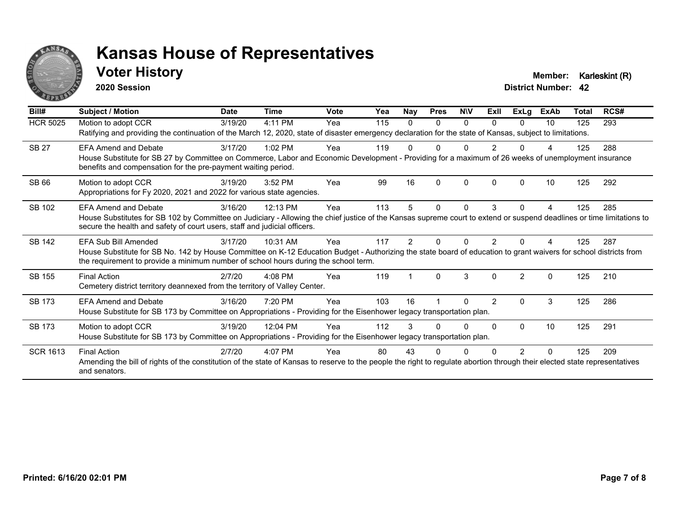

#### **Voter History Member: Karleskint (R)**

**2020 Session**

| Bill#           | <b>Subject / Motion</b>                                                                                                                                                                                                                                                                 | <b>Date</b> | <b>Time</b> | <b>Vote</b> | Yea | Nay | <b>Pres</b>  | <b>NIV</b> | ExII     | ExLg          | <b>ExAb</b> | Total | RCS# |
|-----------------|-----------------------------------------------------------------------------------------------------------------------------------------------------------------------------------------------------------------------------------------------------------------------------------------|-------------|-------------|-------------|-----|-----|--------------|------------|----------|---------------|-------------|-------|------|
| <b>HCR 5025</b> | Motion to adopt CCR<br>Ratifying and providing the continuation of the March 12, 2020, state of disaster emergency declaration for the state of Kansas, subject to limitations.                                                                                                         | 3/19/20     | 4:11 PM     | Yea         | 115 | 0   | 0            | $\Omega$   | $\Omega$ | <sup>n</sup>  | 10          | 125   | 293  |
| <b>SB 27</b>    | <b>EFA Amend and Debate</b><br>House Substitute for SB 27 by Committee on Commerce, Labor and Economic Development - Providing for a maximum of 26 weeks of unemployment insurance<br>benefits and compensation for the pre-payment waiting period.                                     | 3/17/20     | $1:02$ PM   | Yea         | 119 |     |              |            |          |               |             | 125   | 288  |
| SB 66           | Motion to adopt CCR<br>Appropriations for Fy 2020, 2021 and 2022 for various state agencies.                                                                                                                                                                                            | 3/19/20     | 3:52 PM     | Yea         | 99  | 16  | $\Omega$     | $\Omega$   | $\Omega$ | O             | 10          | 125   | 292  |
| SB 102          | <b>EFA Amend and Debate</b><br>House Substitutes for SB 102 by Committee on Judiciary - Allowing the chief justice of the Kansas supreme court to extend or suspend deadlines or time limitations to<br>secure the health and safety of court users, staff and judicial officers.       | 3/16/20     | 12:13 PM    | Yea         | 113 |     | $\mathbf{0}$ | 0          | 3        | 0             |             | 125   | 285  |
| SB 142          | <b>EFA Sub Bill Amended</b><br>House Substitute for SB No. 142 by House Committee on K-12 Education Budget - Authorizing the state board of education to grant waivers for school districts from<br>the requirement to provide a minimum number of school hours during the school term. | 3/17/20     | 10:31 AM    | Yea         | 117 |     |              | U          |          |               |             | 125   | 287  |
| SB 155          | <b>Final Action</b><br>Cemetery district territory deannexed from the territory of Valley Center.                                                                                                                                                                                       | 2/7/20      | $4:08$ PM   | Yea         | 119 |     | $\Omega$     | 3          | $\Omega$ | $\mathcal{P}$ | $\Omega$    | 125   | 210  |
| SB 173          | <b>EFA Amend and Debate</b><br>House Substitute for SB 173 by Committee on Appropriations - Providing for the Eisenhower legacy transportation plan.                                                                                                                                    | 3/16/20     | 7:20 PM     | Yea         | 103 | 16  |              | U          | 2        | 0             | 3           | 125   | 286  |
| SB 173          | Motion to adopt CCR<br>House Substitute for SB 173 by Committee on Appropriations - Providing for the Eisenhower legacy transportation plan.                                                                                                                                            | 3/19/20     | 12:04 PM    | Yea         | 112 |     | U            | 0          | 0        | $\Omega$      | 10          | 125   | 291  |
| <b>SCR 1613</b> | <b>Final Action</b><br>Amending the bill of rights of the constitution of the state of Kansas to reserve to the people the right to regulate abortion through their elected state representatives<br>and senators.                                                                      | 2/7/20      | 4:07 PM     | Yea         | 80  | 43  |              |            |          |               |             | 125   | 209  |